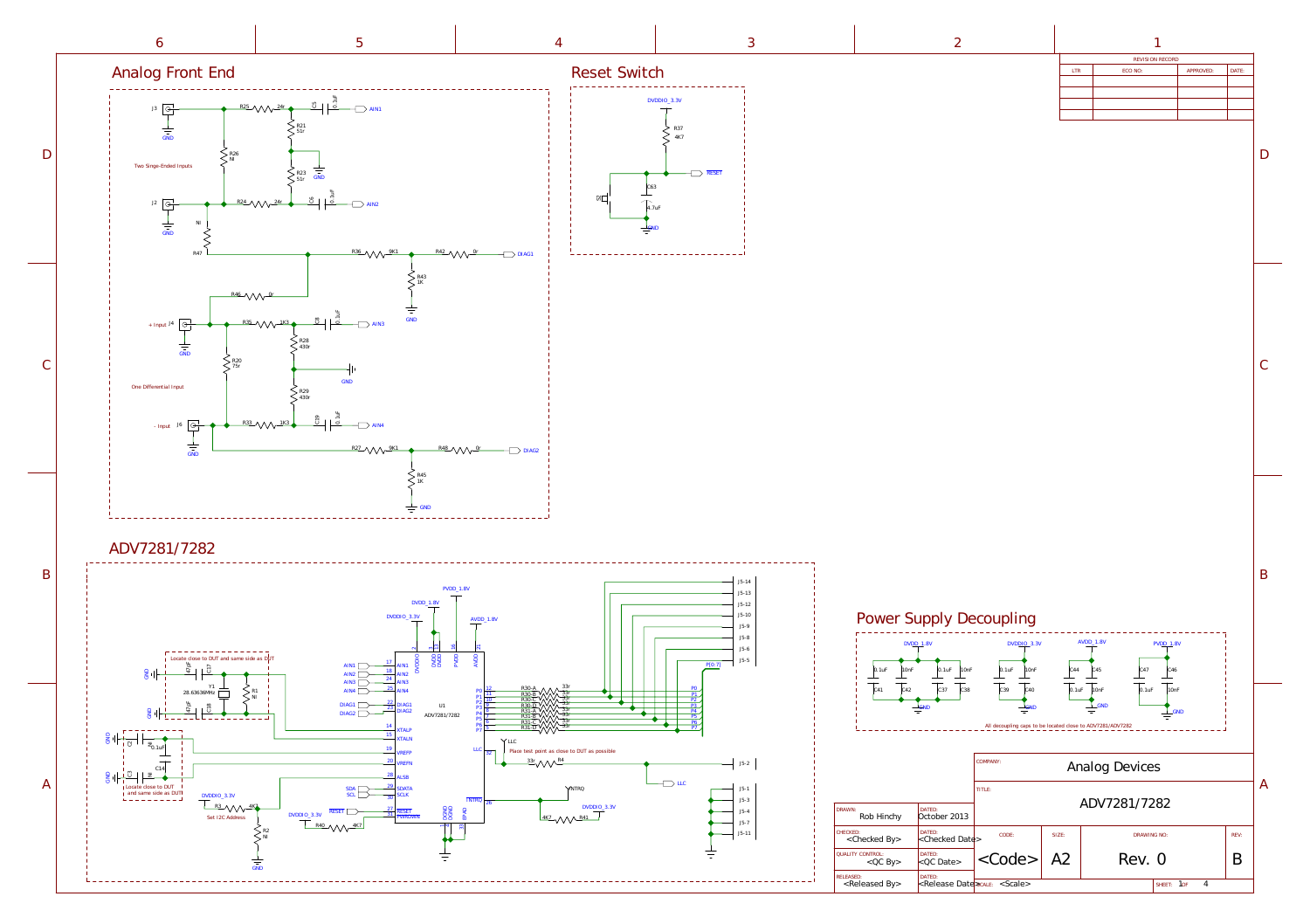

A

B

 $\mathcal{C}$ 

 $D$ 

| g Front End                                                                                                                                                                                                                                                                                                                                                                                                                                                                                                                                                                                                                                                                                                                                                             | Reset Switch |                                                                 | REVISION RECORD<br>ECO NO:<br>APPROVED:<br>LTR<br>DATE: |  |  |
|-------------------------------------------------------------------------------------------------------------------------------------------------------------------------------------------------------------------------------------------------------------------------------------------------------------------------------------------------------------------------------------------------------------------------------------------------------------------------------------------------------------------------------------------------------------------------------------------------------------------------------------------------------------------------------------------------------------------------------------------------------------------------|--------------|-----------------------------------------------------------------|---------------------------------------------------------|--|--|
| $\overline{P}$ R25 VVV $24r$ $\overline{P}$ $\overline{G}$ AIN1<br>$\boxed{\frac{\odot}{\Box}}$<br>$\frac{1}{\frac{1}{\sin D}}$<br>e-Ended Inputs<br>$\sum_{\text{R23}} \frac{1}{\text{GND}}$<br>$\frac{1}{\sqrt{1-\frac{1}{\sqrt{1-\frac{1}{\sqrt{1-\frac{1}{\sqrt{1-\frac{1}{\sqrt{1-\frac{1}{\sqrt{1-\frac{1}{\sqrt{1-\frac{1}{\sqrt{1-\frac{1}{\sqrt{1-\frac{1}{\sqrt{1-\frac{1}{\sqrt{1-\frac{1}{\sqrt{1-\frac{1}{\sqrt{1-\frac{1}{\sqrt{1-\frac{1}{\sqrt{1-\frac{1}{\sqrt{1-\frac{1}{\sqrt{1-\frac{1}{\sqrt{1-\frac{1}{\sqrt{1-\frac{1}{\sqrt{1-\frac{1}{\sqrt{1-\frac{1}{\sqrt{1-\frac{1}{\sqrt{1-\frac{1}{\sqrt{1-\frac{1$<br>$\boxed{\Theta}$<br>$\frac{1}{\frac{1}{\sin D}}$<br>$R36$ $\text{MW}$ $9K1$ $\phi$ $R42$ $\text{MW}$ $0r$ $\longrightarrow$ DIAG1 |              | $DVDDIO_3.3V$<br>R37<br>$\overline{\phantom{a}}$ RESET<br>4.7uF |                                                         |  |  |

<span id="page-0-0"></span>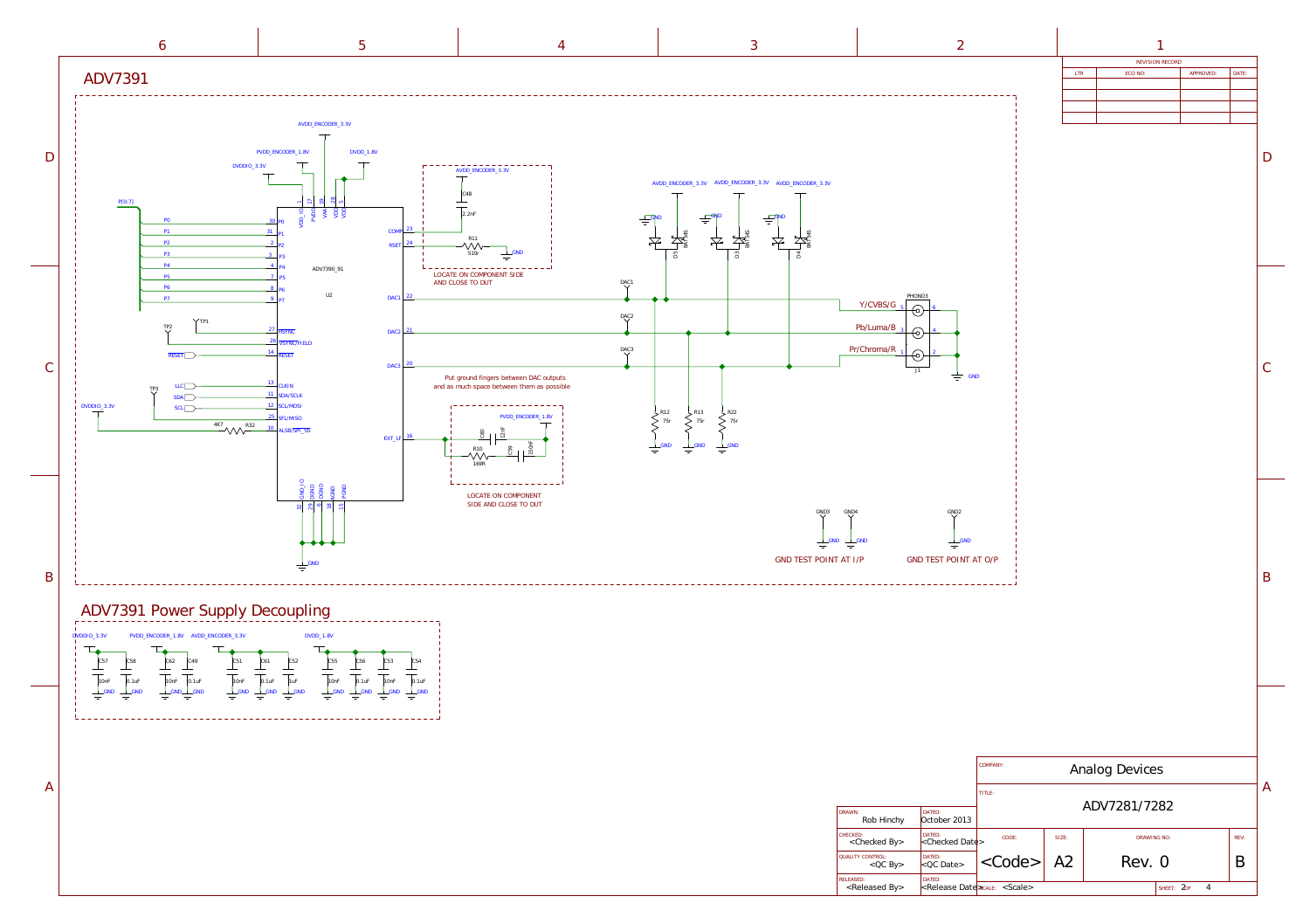

<span id="page-1-0"></span>

A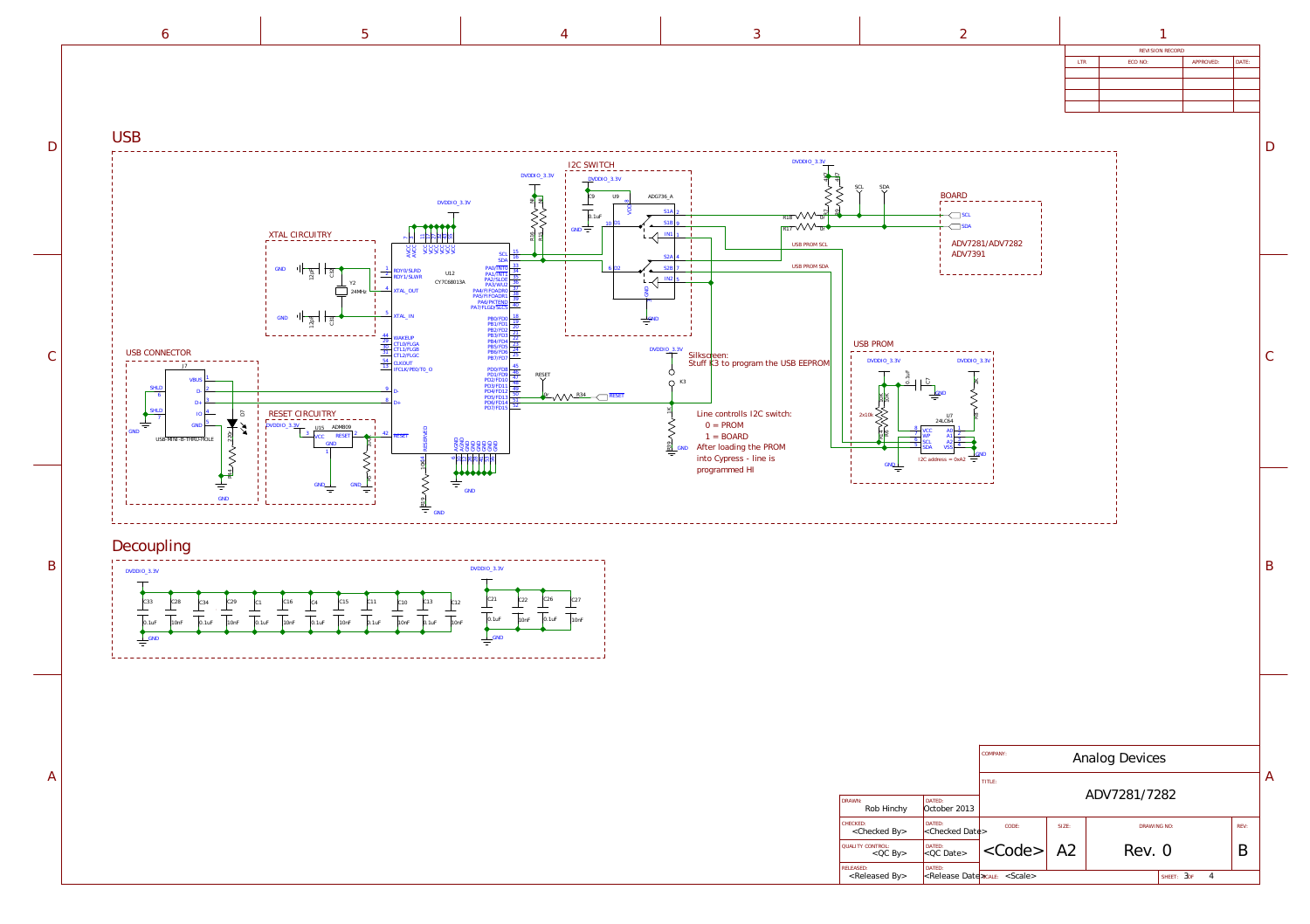A



| REVISION RECORD |         |           |       |  |  |
|-----------------|---------|-----------|-------|--|--|
| <b>LTR</b>      | ECO NO: | APPROVED: | DATE: |  |  |
|                 |         |           |       |  |  |
|                 |         |           |       |  |  |
|                 |         |           |       |  |  |
|                 |         |           |       |  |  |

D

B

A

|                                                 |                                  | COMPANY:<br>Analog Devices<br>TITLE: |      |             |                       |      |   |
|-------------------------------------------------|----------------------------------|--------------------------------------|------|-------------|-----------------------|------|---|
|                                                 |                                  |                                      |      |             |                       |      | P |
| DRAWN:<br>Rob Hinchy                            | DATED:<br>October 2013           | ADV7281/7282                         |      |             |                       |      |   |
| CHECKED:<br><checked by=""></checked>           | DATED:<br>$\kappa$ Checked Date> | CODE:                                | SIZE | DRAWING NO: |                       | REV: |   |
| <b>QUALITY CONTROL:</b><br>$QC$ By              | DATED:<br>$< QC$ Date>           | $<$ Code>                            | A2   | Rev. 0      |                       | B    |   |
| <b>RELEASED:</b><br><released by=""></released> | DATED:                           | <release date="" scale=""></release> |      |             | $3$ of<br>4<br>SHEET: |      |   |

 $\mathcal{C}$ 

<span id="page-2-0"></span>